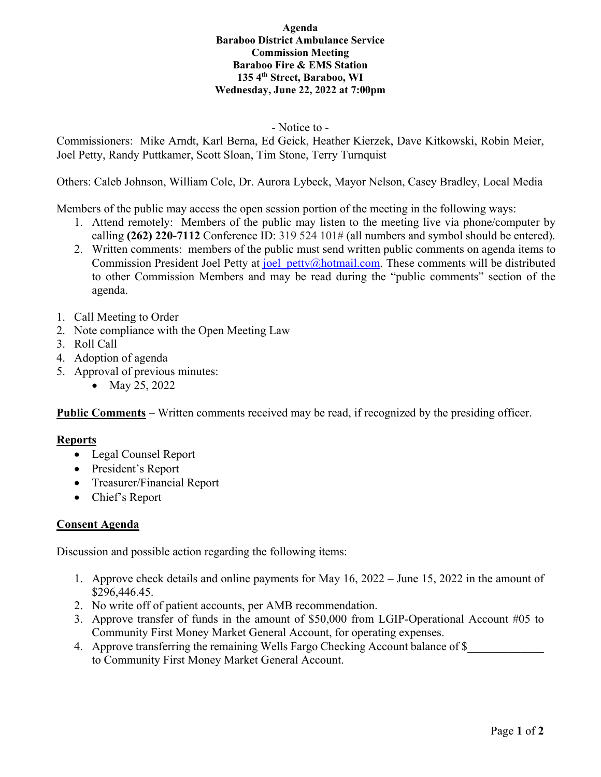# **Agenda Baraboo District Ambulance Service Commission Meeting Baraboo Fire & EMS Station 135 4th Street, Baraboo, WI Wednesday, June 22, 2022 at 7:00pm**

# - Notice to -

Commissioners: Mike Arndt, Karl Berna, Ed Geick, Heather Kierzek, Dave Kitkowski, Robin Meier, Joel Petty, Randy Puttkamer, Scott Sloan, Tim Stone, Terry Turnquist

Others: Caleb Johnson, William Cole, Dr. Aurora Lybeck, Mayor Nelson, Casey Bradley, Local Media

Members of the public may access the open session portion of the meeting in the following ways:

- 1. Attend remotely: Members of the public may listen to the meeting live via phone/computer by calling **(262) 220-7112** Conference ID: 319 524 101# (all numbers and symbol should be entered).
- 2. Written comments: members of the public must send written public comments on agenda items to Commission President Joel Petty at joel petty@hotmail.com. These comments will be distributed to other Commission Members and may be read during the "public comments" section of the agenda.
- 1. Call Meeting to Order
- 2. Note compliance with the Open Meeting Law
- 3. Roll Call
- 4. Adoption of agenda
- 5. Approval of previous minutes:
	- May 25, 2022

**Public Comments** – Written comments received may be read, if recognized by the presiding officer.

#### **Reports**

- Legal Counsel Report
- President's Report
- Treasurer/Financial Report
- Chief's Report

### **Consent Agenda**

Discussion and possible action regarding the following items:

- 1. Approve check details and online payments for May 16, 2022 June 15, 2022 in the amount of \$296,446.45.
- 2. No write off of patient accounts, per AMB recommendation.
- 3. Approve transfer of funds in the amount of \$50,000 from LGIP-Operational Account #05 to Community First Money Market General Account, for operating expenses.
- 4. Approve transferring the remaining Wells Fargo Checking Account balance of \$ to Community First Money Market General Account.